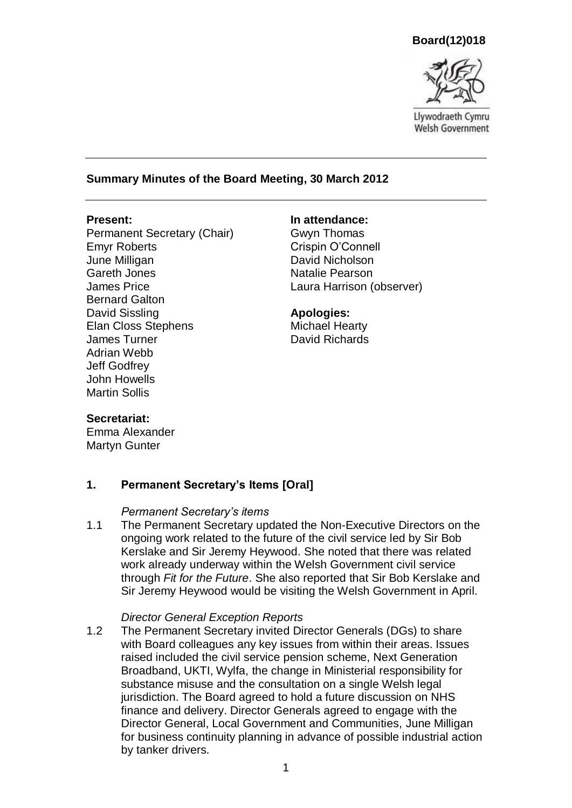**Board(12)018**



Llywodraeth Cymru **Welsh Government** 

## **Summary Minutes of the Board Meeting, 30 March 2012**

Permanent Secretary (Chair) Emyr Roberts June Milligan Gareth Jones James Price Bernard Galton David Sissling Elan Closs Stephens James Turner Adrian Webb Jeff Godfrey John Howells Martin Sollis

#### **Present: In attendance:**

Gwyn Thomas Crispin O'Connell David Nicholson Natalie Pearson Laura Harrison (observer)

#### **Apologies:**

Michael Hearty David Richards

### **Secretariat:**

Emma Alexander Martyn Gunter

### **1. Permanent Secretary's Items [Oral]**

#### *Permanent Secretary's items*

1.1 The Permanent Secretary updated the Non-Executive Directors on the ongoing work related to the future of the civil service led by Sir Bob Kerslake and Sir Jeremy Heywood. She noted that there was related work already underway within the Welsh Government civil service through *Fit for the Future*. She also reported that Sir Bob Kerslake and Sir Jeremy Heywood would be visiting the Welsh Government in April.

#### *Director General Exception Reports*

1.2 The Permanent Secretary invited Director Generals (DGs) to share with Board colleagues any key issues from within their areas. Issues raised included the civil service pension scheme, Next Generation Broadband, UKTI, Wylfa, the change in Ministerial responsibility for substance misuse and the consultation on a single Welsh legal jurisdiction. The Board agreed to hold a future discussion on NHS finance and delivery. Director Generals agreed to engage with the Director General, Local Government and Communities, June Milligan for business continuity planning in advance of possible industrial action by tanker drivers.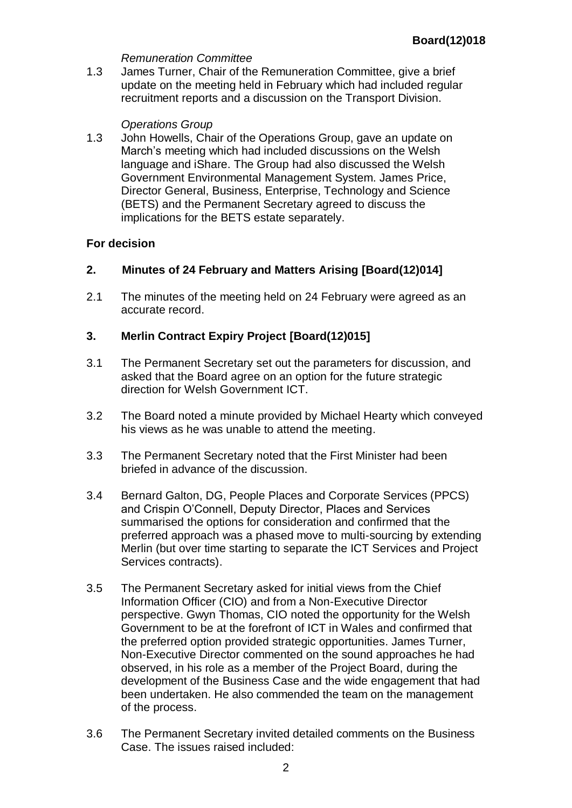## *Remuneration Committee*

1.3 James Turner, Chair of the Remuneration Committee, give a brief update on the meeting held in February which had included regular recruitment reports and a discussion on the Transport Division.

# *Operations Group*

1.3 John Howells, Chair of the Operations Group, gave an update on March's meeting which had included discussions on the Welsh language and iShare. The Group had also discussed the Welsh Government Environmental Management System. James Price, Director General, Business, Enterprise, Technology and Science (BETS) and the Permanent Secretary agreed to discuss the implications for the BETS estate separately.

# **For decision**

# **2. Minutes of 24 February and Matters Arising [Board(12)014]**

2.1 The minutes of the meeting held on 24 February were agreed as an accurate record.

# **3. Merlin Contract Expiry Project [Board(12)015]**

- 3.1 The Permanent Secretary set out the parameters for discussion, and asked that the Board agree on an option for the future strategic direction for Welsh Government ICT.
- 3.2 The Board noted a minute provided by Michael Hearty which conveyed his views as he was unable to attend the meeting.
- 3.3 The Permanent Secretary noted that the First Minister had been briefed in advance of the discussion.
- 3.4 Bernard Galton, DG, People Places and Corporate Services (PPCS) and Crispin O'Connell, Deputy Director, Places and Services summarised the options for consideration and confirmed that the preferred approach was a phased move to multi-sourcing by extending Merlin (but over time starting to separate the ICT Services and Project Services contracts).
- 3.5 The Permanent Secretary asked for initial views from the Chief Information Officer (CIO) and from a Non-Executive Director perspective. Gwyn Thomas, CIO noted the opportunity for the Welsh Government to be at the forefront of ICT in Wales and confirmed that the preferred option provided strategic opportunities. James Turner, Non-Executive Director commented on the sound approaches he had observed, in his role as a member of the Project Board, during the development of the Business Case and the wide engagement that had been undertaken. He also commended the team on the management of the process.
- 3.6 The Permanent Secretary invited detailed comments on the Business Case. The issues raised included: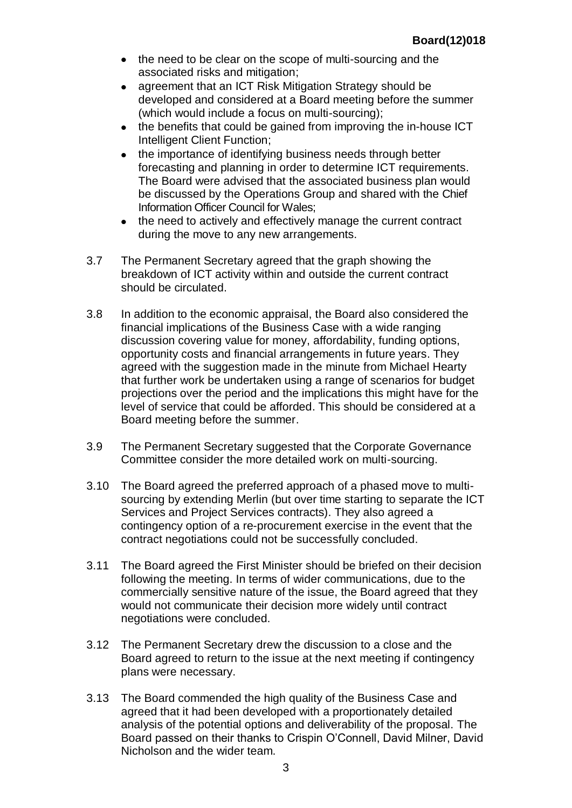- the need to be clear on the scope of multi-sourcing and the associated risks and mitigation;
- agreement that an ICT Risk Mitigation Strategy should be  $\bullet$ developed and considered at a Board meeting before the summer (which would include a focus on multi-sourcing);
- the benefits that could be gained from improving the in-house ICT Intelligent Client Function;
- the importance of identifying business needs through better forecasting and planning in order to determine ICT requirements. The Board were advised that the associated business plan would be discussed by the Operations Group and shared with the Chief Information Officer Council for Wales;
- the need to actively and effectively manage the current contract during the move to any new arrangements.
- 3.7 The Permanent Secretary agreed that the graph showing the breakdown of ICT activity within and outside the current contract should be circulated.
- 3.8 In addition to the economic appraisal, the Board also considered the financial implications of the Business Case with a wide ranging discussion covering value for money, affordability, funding options, opportunity costs and financial arrangements in future years. They agreed with the suggestion made in the minute from Michael Hearty that further work be undertaken using a range of scenarios for budget projections over the period and the implications this might have for the level of service that could be afforded. This should be considered at a Board meeting before the summer.
- 3.9 The Permanent Secretary suggested that the Corporate Governance Committee consider the more detailed work on multi-sourcing.
- 3.10 The Board agreed the preferred approach of a phased move to multisourcing by extending Merlin (but over time starting to separate the ICT Services and Project Services contracts). They also agreed a contingency option of a re-procurement exercise in the event that the contract negotiations could not be successfully concluded.
- 3.11 The Board agreed the First Minister should be briefed on their decision following the meeting. In terms of wider communications, due to the commercially sensitive nature of the issue, the Board agreed that they would not communicate their decision more widely until contract negotiations were concluded.
- 3.12 The Permanent Secretary drew the discussion to a close and the Board agreed to return to the issue at the next meeting if contingency plans were necessary.
- 3.13 The Board commended the high quality of the Business Case and agreed that it had been developed with a proportionately detailed analysis of the potential options and deliverability of the proposal. The Board passed on their thanks to Crispin O'Connell, David Milner, David Nicholson and the wider team.